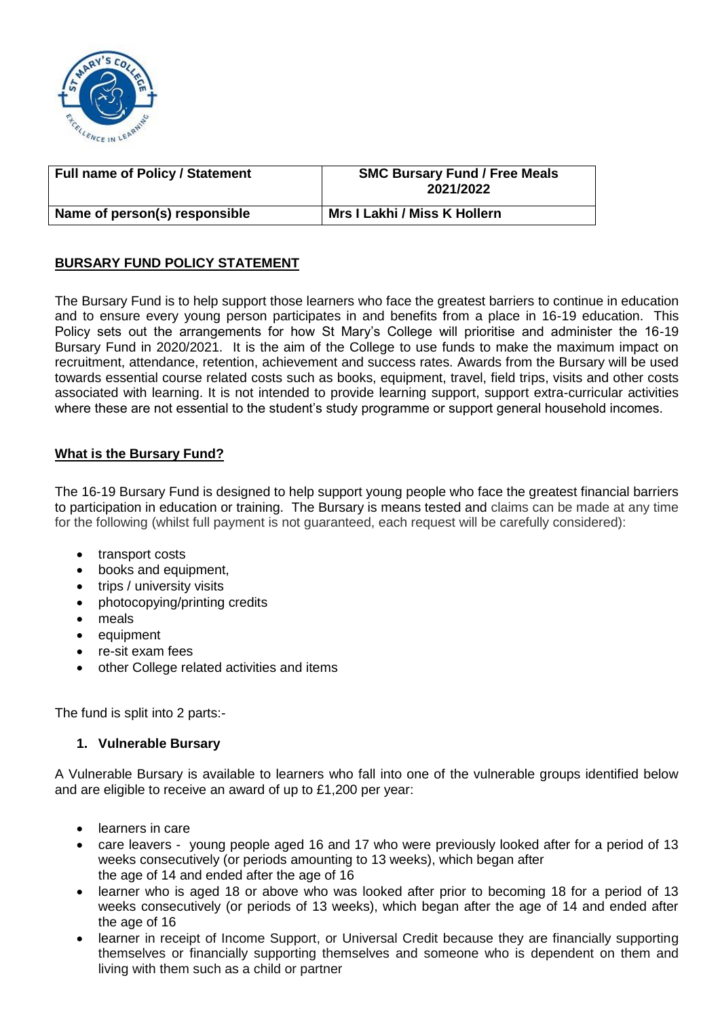

| <b>Full name of Policy / Statement</b> | <b>SMC Bursary Fund / Free Meals</b><br>2021/2022 |
|----------------------------------------|---------------------------------------------------|
| Name of person(s) responsible          | Mrs I Lakhi / Miss K Hollern                      |

# **BURSARY FUND POLICY STATEMENT**

The Bursary Fund is to help support those learners who face the greatest barriers to continue in education and to ensure every young person participates in and benefits from a place in 16-19 education. This Policy sets out the arrangements for how St Mary's College will prioritise and administer the 16-19 Bursary Fund in 2020/2021. It is the aim of the College to use funds to make the maximum impact on recruitment, attendance, retention, achievement and success rates. Awards from the Bursary will be used towards essential course related costs such as books, equipment, travel, field trips, visits and other costs associated with learning. It is not intended to provide learning support, support extra-curricular activities where these are not essential to the student's study programme or support general household incomes.

# **What is the Bursary Fund?**

The 16-19 Bursary Fund is designed to help support young people who face the greatest financial barriers to participation in education or training. The Bursary is means tested and claims can be made at any time for the following (whilst full payment is not guaranteed, each request will be carefully considered):

- transport costs
- books and equipment,
- trips / university visits
- photocopying/printing credits
- meals
- equipment
- re-sit exam fees
- other College related activities and items

The fund is split into 2 parts:-

#### **1. Vulnerable Bursary**

A Vulnerable Bursary is available to learners who fall into one of the vulnerable groups identified below and are eligible to receive an award of up to £1,200 per year:

- learners in care
- care leavers young people aged 16 and 17 who were previously looked after for a period of 13 weeks consecutively (or periods amounting to 13 weeks), which began after the age of 14 and ended after the age of 16
- learner who is aged 18 or above who was looked after prior to becoming 18 for a period of 13 weeks consecutively (or periods of 13 weeks), which began after the age of 14 and ended after the age of 16
- learner in receipt of Income Support, or Universal Credit because they are financially supporting themselves or financially supporting themselves and someone who is dependent on them and living with them such as a child or partner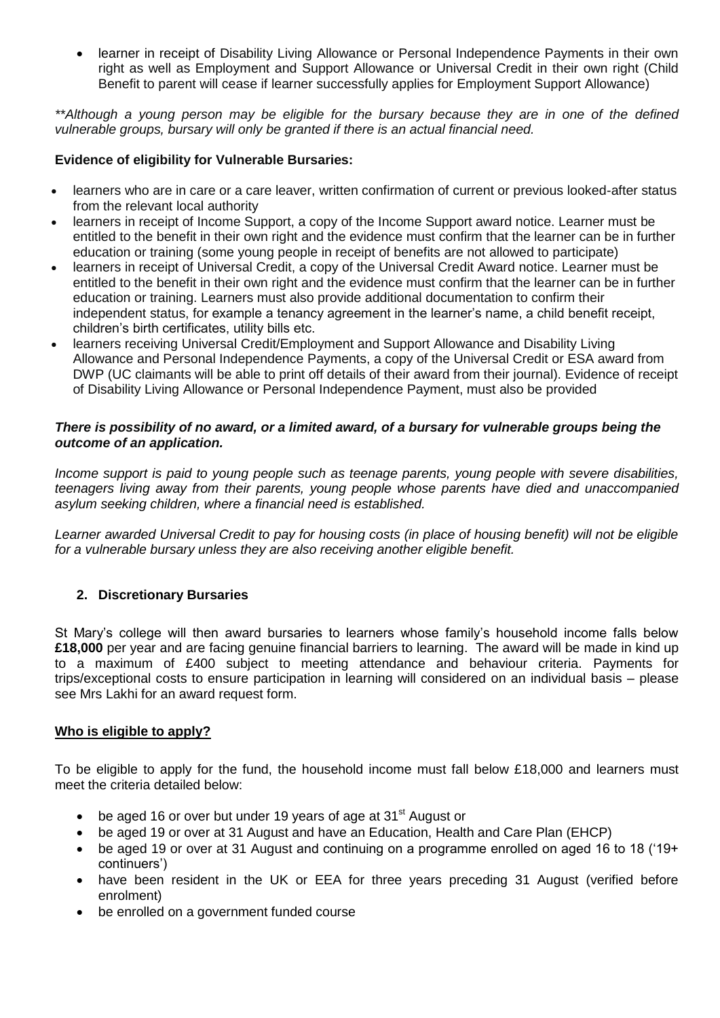learner in receipt of Disability Living Allowance or Personal Independence Payments in their own right as well as Employment and Support Allowance or Universal Credit in their own right (Child Benefit to parent will cease if learner successfully applies for Employment Support Allowance)

*\*\*Although a young person may be eligible for the bursary because they are in one of the defined vulnerable groups, bursary will only be granted if there is an actual financial need.* 

## **Evidence of eligibility for Vulnerable Bursaries:**

- learners who are in care or a care leaver, written confirmation of current or previous looked-after status from the relevant local authority
- learners in receipt of Income Support, a copy of the Income Support award notice. Learner must be entitled to the benefit in their own right and the evidence must confirm that the learner can be in further education or training (some young people in receipt of benefits are not allowed to participate)
- learners in receipt of Universal Credit, a copy of the Universal Credit Award notice. Learner must be entitled to the benefit in their own right and the evidence must confirm that the learner can be in further education or training. Learners must also provide additional documentation to confirm their independent status, for example a tenancy agreement in the learner's name, a child benefit receipt, children's birth certificates, utility bills etc.
- learners receiving Universal Credit/Employment and Support Allowance and Disability Living Allowance and Personal Independence Payments, a copy of the Universal Credit or ESA award from DWP (UC claimants will be able to print off details of their award from their journal). Evidence of receipt of Disability Living Allowance or Personal Independence Payment, must also be provided

#### *There is possibility of no award, or a limited award, of a bursary for vulnerable groups being the outcome of an application.*

*Income support is paid to young people such as teenage parents, young people with severe disabilities, teenagers living away from their parents, young people whose parents have died and unaccompanied asylum seeking children, where a financial need is established.*

*Learner awarded Universal Credit to pay for housing costs (in place of housing benefit) will not be eligible for a vulnerable bursary unless they are also receiving another eligible benefit.*

# **2. Discretionary Bursaries**

St Mary's college will then award bursaries to learners whose family's household income falls below **£18,000** per year and are facing genuine financial barriers to learning. The award will be made in kind up to a maximum of £400 subject to meeting attendance and behaviour criteria. Payments for trips/exceptional costs to ensure participation in learning will considered on an individual basis – please see Mrs Lakhi for an award request form.

#### **Who is eligible to apply?**

To be eligible to apply for the fund, the household income must fall below £18,000 and learners must meet the criteria detailed below:

- $\bullet$  be aged 16 or over but under 19 years of age at 31<sup>st</sup> August or
- be aged 19 or over at 31 August and have an Education, Health and Care Plan (EHCP)
- be aged 19 or over at 31 August and continuing on a programme enrolled on aged 16 to 18 ('19+ continuers')
- have been resident in the UK or EEA for three years preceding 31 August (verified before enrolment)
- be enrolled on a government funded course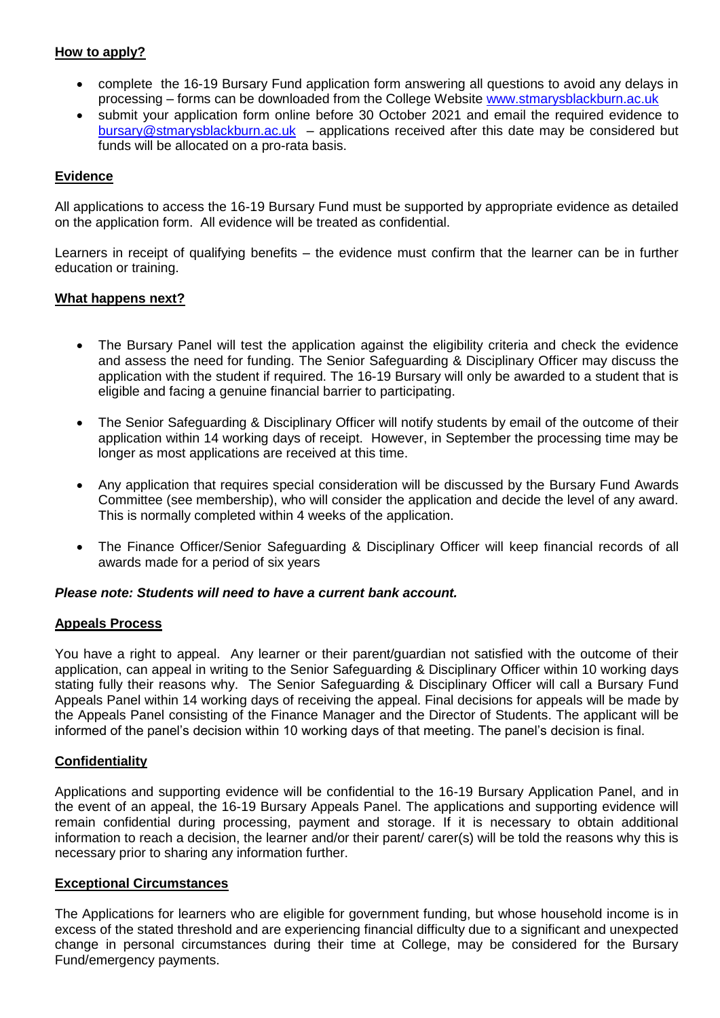## **How to apply?**

- complete the 16-19 Bursary Fund application form answering all questions to avoid any delays in processing – forms can be downloaded from the College Website [www.stmarysblackburn.ac.uk](http://www.stmarysblackburn.ac.uk/)
- submit your application form online before 30 October 2021 and email the required evidence to [bursary@stmarysblackburn.ac.uk](mailto:bursary@stmarysblackburn.ac.uk) – applications received after this date may be considered but funds will be allocated on a pro-rata basis.

### **Evidence**

All applications to access the 16-19 Bursary Fund must be supported by appropriate evidence as detailed on the application form. All evidence will be treated as confidential.

Learners in receipt of qualifying benefits – the evidence must confirm that the learner can be in further education or training.

#### **What happens next?**

- The Bursary Panel will test the application against the eligibility criteria and check the evidence and assess the need for funding. The Senior Safeguarding & Disciplinary Officer may discuss the application with the student if required. The 16-19 Bursary will only be awarded to a student that is eligible and facing a genuine financial barrier to participating.
- The Senior Safeguarding & Disciplinary Officer will notify students by email of the outcome of their application within 14 working days of receipt. However, in September the processing time may be longer as most applications are received at this time.
- Any application that requires special consideration will be discussed by the Bursary Fund Awards Committee (see membership), who will consider the application and decide the level of any award. This is normally completed within 4 weeks of the application.
- The Finance Officer/Senior Safeguarding & Disciplinary Officer will keep financial records of all awards made for a period of six years

#### *Please note: Students will need to have a current bank account.*

#### **Appeals Process**

You have a right to appeal. Any learner or their parent/guardian not satisfied with the outcome of their application, can appeal in writing to the Senior Safeguarding & Disciplinary Officer within 10 working days stating fully their reasons why. The Senior Safeguarding & Disciplinary Officer will call a Bursary Fund Appeals Panel within 14 working days of receiving the appeal. Final decisions for appeals will be made by the Appeals Panel consisting of the Finance Manager and the Director of Students. The applicant will be informed of the panel's decision within 10 working days of that meeting. The panel's decision is final.

#### **Confidentiality**

Applications and supporting evidence will be confidential to the 16-19 Bursary Application Panel, and in the event of an appeal, the 16-19 Bursary Appeals Panel. The applications and supporting evidence will remain confidential during processing, payment and storage. If it is necessary to obtain additional information to reach a decision, the learner and/or their parent/ carer(s) will be told the reasons why this is necessary prior to sharing any information further.

#### **Exceptional Circumstances**

The Applications for learners who are eligible for government funding, but whose household income is in excess of the stated threshold and are experiencing financial difficulty due to a significant and unexpected change in personal circumstances during their time at College, may be considered for the Bursary Fund/emergency payments.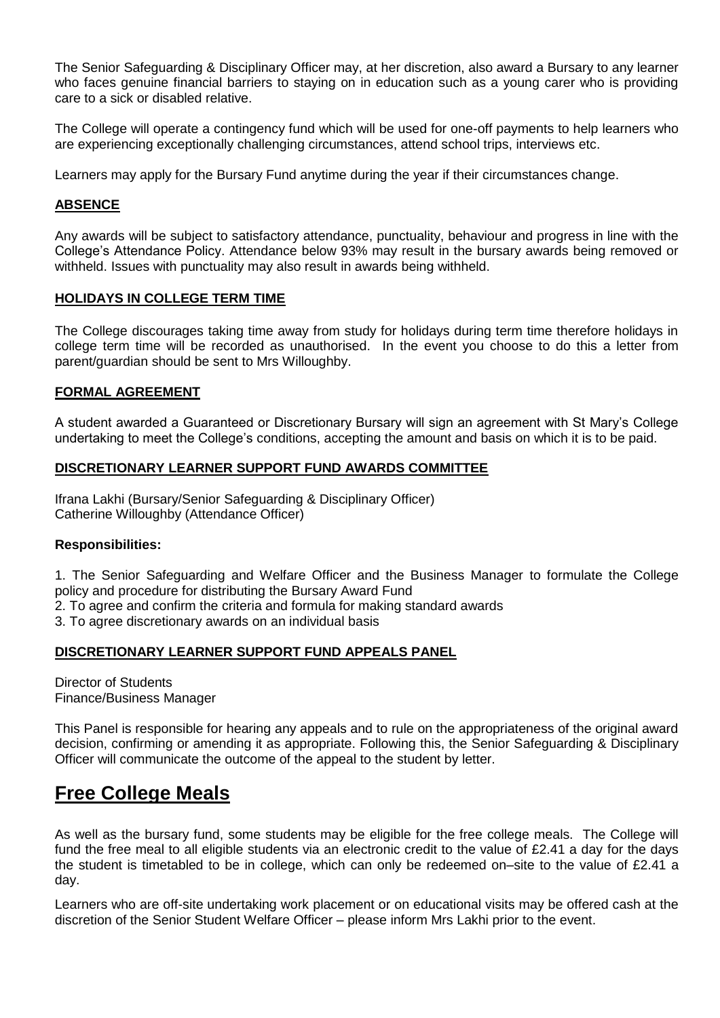The Senior Safeguarding & Disciplinary Officer may, at her discretion, also award a Bursary to any learner who faces genuine financial barriers to staying on in education such as a young carer who is providing care to a sick or disabled relative.

The College will operate a contingency fund which will be used for one-off payments to help learners who are experiencing exceptionally challenging circumstances, attend school trips, interviews etc.

Learners may apply for the Bursary Fund anytime during the year if their circumstances change.

# **ABSENCE**

Any awards will be subject to satisfactory attendance, punctuality, behaviour and progress in line with the College's Attendance Policy. Attendance below 93% may result in the bursary awards being removed or withheld. Issues with punctuality may also result in awards being withheld.

## **HOLIDAYS IN COLLEGE TERM TIME**

The College discourages taking time away from study for holidays during term time therefore holidays in college term time will be recorded as unauthorised. In the event you choose to do this a letter from parent/guardian should be sent to Mrs Willoughby.

# **FORMAL AGREEMENT**

A student awarded a Guaranteed or Discretionary Bursary will sign an agreement with St Mary's College undertaking to meet the College's conditions, accepting the amount and basis on which it is to be paid.

## **DISCRETIONARY LEARNER SUPPORT FUND AWARDS COMMITTEE**

Ifrana Lakhi (Bursary/Senior Safeguarding & Disciplinary Officer) Catherine Willoughby (Attendance Officer)

#### **Responsibilities:**

1. The Senior Safeguarding and Welfare Officer and the Business Manager to formulate the College policy and procedure for distributing the Bursary Award Fund

2. To agree and confirm the criteria and formula for making standard awards

3. To agree discretionary awards on an individual basis

#### **DISCRETIONARY LEARNER SUPPORT FUND APPEALS PANEL**

Director of Students Finance/Business Manager

This Panel is responsible for hearing any appeals and to rule on the appropriateness of the original award decision, confirming or amending it as appropriate. Following this, the Senior Safeguarding & Disciplinary Officer will communicate the outcome of the appeal to the student by letter.

# **Free College Meals**

As well as the bursary fund, some students may be eligible for the free college meals. The College will fund the free meal to all eligible students via an electronic credit to the value of £2.41 a day for the days the student is timetabled to be in college, which can only be redeemed on–site to the value of £2.41 a day.

Learners who are off-site undertaking work placement or on educational visits may be offered cash at the discretion of the Senior Student Welfare Officer – please inform Mrs Lakhi prior to the event.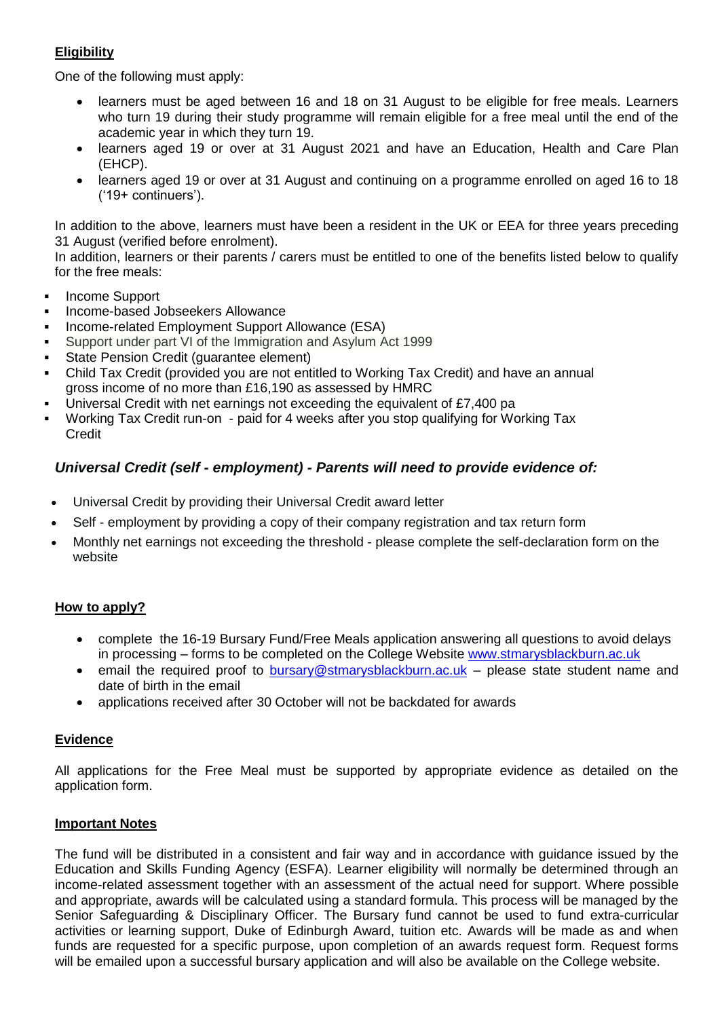# **Eligibility**

One of the following must apply:

- learners must be aged between 16 and 18 on 31 August to be eligible for free meals. Learners who turn 19 during their study programme will remain eligible for a free meal until the end of the academic year in which they turn 19.
- learners aged 19 or over at 31 August 2021 and have an Education, Health and Care Plan (EHCP).
- learners aged 19 or over at 31 August and continuing on a programme enrolled on aged 16 to 18 ('19+ continuers').

In addition to the above, learners must have been a resident in the UK or EEA for three years preceding 31 August (verified before enrolment).

In addition, learners or their parents / carers must be entitled to one of the benefits listed below to qualify for the free meals:

- Income Support
- Income-based Jobseekers Allowance
- Income-related Employment Support Allowance (ESA)
- Support under part VI of the Immigration and Asylum Act 1999
- State Pension Credit (guarantee element)
- Child Tax Credit (provided you are not entitled to Working Tax Credit) and have an annual gross income of no more than £16,190 as assessed by HMRC
- Universal Credit with net earnings not exceeding the equivalent of £7,400 pa
- Working Tax Credit run-on paid for 4 weeks after you stop qualifying for Working Tax Credit

# *Universal Credit (self - employment) - Parents will need to provide evidence of:*

- Universal Credit by providing their Universal Credit award letter
- Self employment by providing a copy of their company registration and tax return form
- Monthly net earnings not exceeding the threshold please complete the self-declaration form on the website

# **How to apply?**

- complete the 16-19 Bursary Fund/Free Meals application answering all questions to avoid delays in processing – forms to be completed on the College Website [www.stmarysblackburn.ac.uk](http://www.stmarysblackburn.ac.uk/)
- email the required proof to [bursary@stmarysblackburn.ac.uk](mailto:bursary@stmarysblackburn.ac.uk) please state student name and date of birth in the email
- applications received after 30 October will not be backdated for awards

#### **Evidence**

All applications for the Free Meal must be supported by appropriate evidence as detailed on the application form.

#### **Important Notes**

The fund will be distributed in a consistent and fair way and in accordance with guidance issued by the Education and Skills Funding Agency (ESFA). Learner eligibility will normally be determined through an income-related assessment together with an assessment of the actual need for support. Where possible and appropriate, awards will be calculated using a standard formula. This process will be managed by the Senior Safeguarding & Disciplinary Officer. The Bursary fund cannot be used to fund extra-curricular activities or learning support, Duke of Edinburgh Award, tuition etc. Awards will be made as and when funds are requested for a specific purpose, upon completion of an awards request form. Request forms will be emailed upon a successful bursary application and will also be available on the College website.